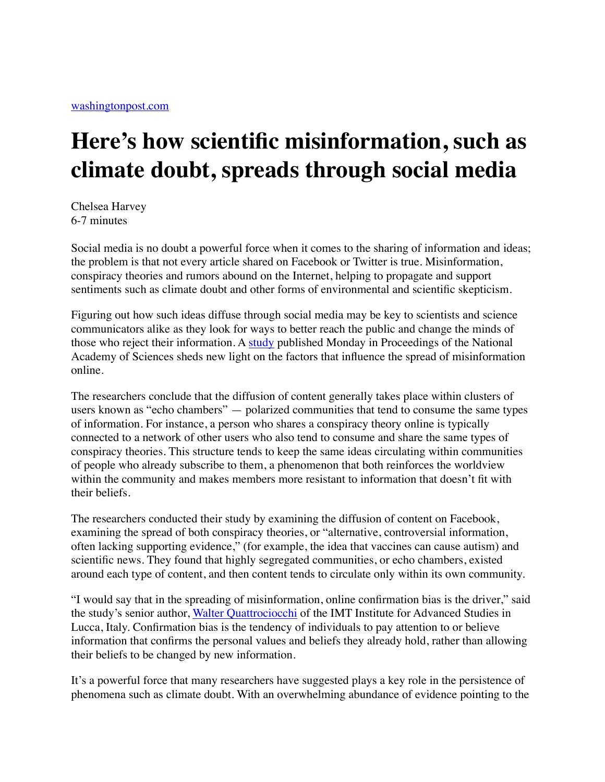## **Here's how scientific misinformation, such as climate doubt, spreads through social media**

Chelsea Harvey 6-7 minutes

Social media is no doubt a powerful force when it comes to the sharing of information and ideas; the problem is that not every article shared on Facebook or Twitter is true. Misinformation, conspiracy theories and rumors abound on the Internet, helping to propagate and support sentiments such as climate doubt and other forms of environmental and scientific skepticism.

Figuring out how such ideas diffuse through social media may be key to scientists and science communicators alike as they look for ways to better reach the public and change the minds of those who reject their information. A [study](http://www.pnas.org/cgi/doi/10.1073/pnas.1517441113) published Monday in Proceedings of the National Academy of Sciences sheds new light on the factors that influence the spread of misinformation online.

The researchers conclude that the diffusion of content generally takes place within clusters of users known as "echo chambers" — polarized communities that tend to consume the same types of information. For instance, a person who shares a conspiracy theory online is typically connected to a network of other users who also tend to consume and share the same types of conspiracy theories. This structure tends to keep the same ideas circulating within communities of people who already subscribe to them, a phenomenon that both reinforces the worldview within the community and makes members more resistant to information that doesn't fit with their beliefs.

The researchers conducted their study by examining the diffusion of content on Facebook, examining the spread of both conspiracy theories, or "alternative, controversial information, often lacking supporting evidence," (for example, the idea that vaccines can cause autism) and scientific news. They found that highly segregated communities, or echo chambers, existed around each type of content, and then content tends to circulate only within its own community.

"I would say that in the spreading of misinformation, online confirmation bias is the driver," said the study's senior author, [Walter Quattrociocchi](https://www.imtlucca.it/walter.quattrociocchi) of the IMT Institute for Advanced Studies in Lucca, Italy. Confirmation bias is the tendency of individuals to pay attention to or believe information that confirms the personal values and beliefs they already hold, rather than allowing their beliefs to be changed by new information.

It's a powerful force that many researchers have suggested plays a key role in the persistence of phenomena such as climate doubt. With an overwhelming abundance of evidence pointing to the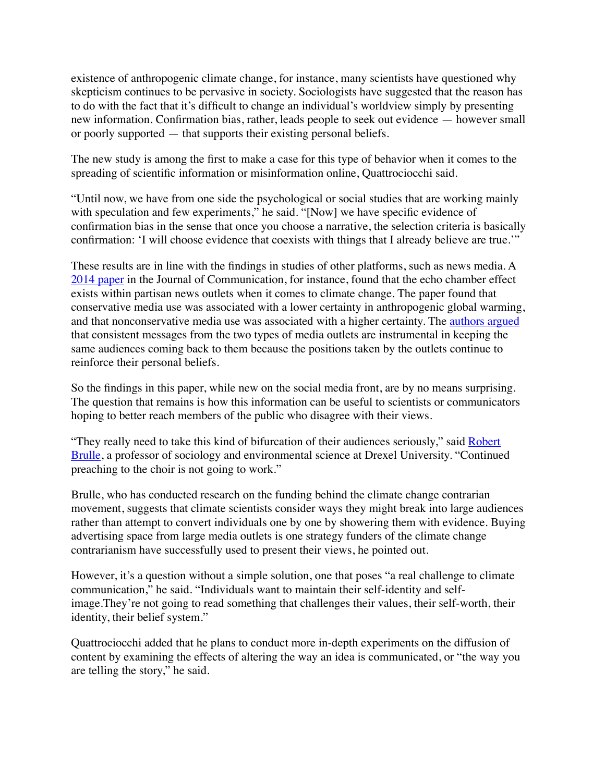existence of anthropogenic climate change, for instance, many scientists have questioned why skepticism continues to be pervasive in society. Sociologists have suggested that the reason has to do with the fact that it's difficult to change an individual's worldview simply by presenting new information. Confirmation bias, rather, leads people to seek out evidence — however small or poorly supported — that supports their existing personal beliefs.

The new study is among the first to make a case for this type of behavior when it comes to the spreading of scientific information or misinformation online, Quattrociocchi said.

"Until now, we have from one side the psychological or social studies that are working mainly with speculation and few experiments," he said. "[Now] we have specific evidence of confirmation bias in the sense that once you choose a narrative, the selection criteria is basically confirmation: 'I will choose evidence that coexists with things that I already believe are true.'"

These results are in line with the findings in studies of other platforms, such as news media. A [2014 paper](http://onlinelibrary.wiley.com/doi/10.1111/jcom.12108/abstract) in the Journal of Communication, for instance, found that the echo chamber effect exists within partisan news outlets when it comes to climate change. The paper found that conservative media use was associated with a lower certainty in anthropogenic global warming, and that nonconservative media use was associated with a higher certainty. The [authors argued](http://environment.yale.edu/climate-communication/article/media-echo-chambers-and-climate-change) that consistent messages from the two types of media outlets are instrumental in keeping the same audiences coming back to them because the positions taken by the outlets continue to reinforce their personal beliefs.

So the findings in this paper, while new on the social media front, are by no means surprising. The question that remains is how this information can be useful to scientists or communicators hoping to better reach members of the public who disagree with their views.

"They really need to take this kind of bifurcation of their audiences seriously," said [Robert](http://drexel.edu/now/experts/Overview/brulle-robert/)  [Brulle,](http://drexel.edu/now/experts/Overview/brulle-robert/) a professor of sociology and environmental science at Drexel University. "Continued preaching to the choir is not going to work."

Brulle, who has conducted research on the funding behind the climate change contrarian movement, suggests that climate scientists consider ways they might break into large audiences rather than attempt to convert individuals one by one by showering them with evidence. Buying advertising space from large media outlets is one strategy funders of the climate change contrarianism have successfully used to present their views, he pointed out.

However, it's a question without a simple solution, one that poses "a real challenge to climate communication," he said. "Individuals want to maintain their self-identity and selfimage.They're not going to read something that challenges their values, their self-worth, their identity, their belief system."

Quattrociocchi added that he plans to conduct more in-depth experiments on the diffusion of content by examining the effects of altering the way an idea is communicated, or "the way you are telling the story," he said.